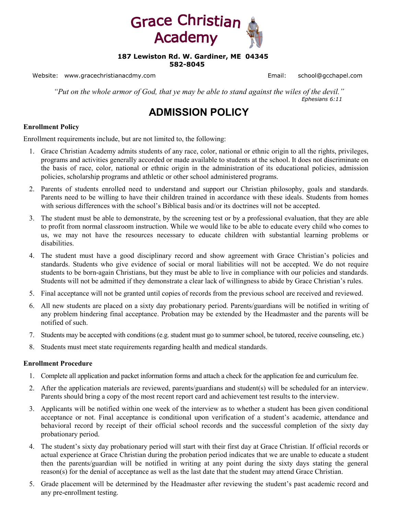

#### **187 Lewiston Rd. W. Gardiner, ME 04345 582-8045**

Website: www.gracechristianacdmy.com email: school@gcchapel.com Email: school@gcchapel.com

*"Put on the whole armor of God, that ye may be able to stand against the wiles of the devil." Ephesians 6:11* 

## **ADMISSION POLICY**

#### **Enrollment Policy**

Enrollment requirements include, but are not limited to, the following:

- 1. Grace Christian Academy admits students of any race, color, national or ethnic origin to all the rights, privileges, programs and activities generally accorded or made available to students at the school. It does not discriminate on the basis of race, color, national or ethnic origin in the administration of its educational policies, admission policies, scholarship programs and athletic or other school administered programs.
- 2. Parents of students enrolled need to understand and support our Christian philosophy, goals and standards. Parents need to be willing to have their children trained in accordance with these ideals. Students from homes with serious differences with the school's Biblical basis and/or its doctrines will not be accepted.
- 3. The student must be able to demonstrate, by the screening test or by a professional evaluation, that they are able to profit from normal classroom instruction. While we would like to be able to educate every child who comes to us, we may not have the resources necessary to educate children with substantial learning problems or disabilities.
- 4. The student must have a good disciplinary record and show agreement with Grace Christian's policies and standards. Students who give evidence of social or moral liabilities will not be accepted. We do not require students to be born-again Christians, but they must be able to live in compliance with our policies and standards. Students will not be admitted if they demonstrate a clear lack of willingness to abide by Grace Christian's rules.
- 5. Final acceptance will not be granted until copies of records from the previous school are received and reviewed.
- 6. All new students are placed on a sixty day probationary period. Parents/guardians will be notified in writing of any problem hindering final acceptance. Probation may be extended by the Headmaster and the parents will be notified of such.
- 7. Students may be accepted with conditions (e.g. student must go to summer school, be tutored, receive counseling, etc.)
- 8. Students must meet state requirements regarding health and medical standards.

#### **Enrollment Procedure**

- 1. Complete all application and packet information forms and attach a check for the application fee and curriculum fee.
- 2. After the application materials are reviewed, parents/guardians and student(s) will be scheduled for an interview. Parents should bring a copy of the most recent report card and achievement test results to the interview.
- 3. Applicants will be notified within one week of the interview as to whether a student has been given conditional acceptance or not. Final acceptance is conditional upon verification of a student's academic, attendance and behavioral record by receipt of their official school records and the successful completion of the sixty day probationary period.
- 4. The student's sixty day probationary period will start with their first day at Grace Christian. If official records or actual experience at Grace Christian during the probation period indicates that we are unable to educate a student then the parents/guardian will be notified in writing at any point during the sixty days stating the general reason(s) for the denial of acceptance as well as the last date that the student may attend Grace Christian.
- 5. Grade placement will be determined by the Headmaster after reviewing the student's past academic record and any pre-enrollment testing.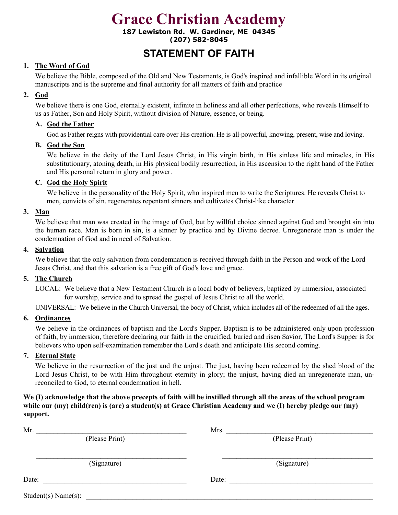**187 Lewiston Rd. W. Gardiner, ME 04345 (207) 582-8045** 

## **STATEMENT OF FAITH**

### **1. The Word of God**

We believe the Bible, composed of the Old and New Testaments, is God's inspired and infallible Word in its original manuscripts and is the supreme and final authority for all matters of faith and practice

### **2. God**

We believe there is one God, eternally existent, infinite in holiness and all other perfections, who reveals Himself to us as Father, Son and Holy Spirit, without division of Nature, essence, or being.

### **A. God the Father**

God as Father reigns with providential care over His creation. He is all-powerful, knowing, present, wise and loving.

### **B. God the Son**

We believe in the deity of the Lord Jesus Christ, in His virgin birth, in His sinless life and miracles, in His substitutionary, atoning death, in His physical bodily resurrection, in His ascension to the right hand of the Father and His personal return in glory and power.

### **C. God the Holy Spirit**

We believe in the personality of the Holy Spirit, who inspired men to write the Scriptures. He reveals Christ to men, convicts of sin, regenerates repentant sinners and cultivates Christ-like character

### **3. Man**

We believe that man was created in the image of God, but by willful choice sinned against God and brought sin into the human race. Man is born in sin, is a sinner by practice and by Divine decree. Unregenerate man is under the condemnation of God and in need of Salvation.

### **4. Salvation**

We believe that the only salvation from condemnation is received through faith in the Person and work of the Lord Jesus Christ, and that this salvation is a free gift of God's love and grace.

### **5. The Church**

LOCAL: We believe that a New Testament Church is a local body of believers, baptized by immersion, associated for worship, service and to spread the gospel of Jesus Christ to all the world.

UNIVERSAL: We believe in the Church Universal, the body of Christ, which includes all of the redeemed of all the ages.

### **6. Ordinances**

We believe in the ordinances of baptism and the Lord's Supper. Baptism is to be administered only upon profession of faith, by immersion, therefore declaring our faith in the crucified, buried and risen Savior, The Lord's Supper is for believers who upon self-examination remember the Lord's death and anticipate His second coming.

### **7. Eternal State**

We believe in the resurrection of the just and the unjust. The just, having been redeemed by the shed blood of the Lord Jesus Christ, to be with Him throughout eternity in glory; the unjust, having died an unregenerate man, unreconciled to God, to eternal condemnation in hell.

### **We (I) acknowledge that the above precepts of faith will be instilled through all the areas of the school program while our (my) child(ren) is (are) a student(s) at Grace Christian Academy and we (I) hereby pledge our (my) support.**

| Mr.                 | Mrs.           |
|---------------------|----------------|
| (Please Print)      | (Please Print) |
| (Signature)         | (Signature)    |
| Date:               | Date:          |
| Student(s) Name(s): |                |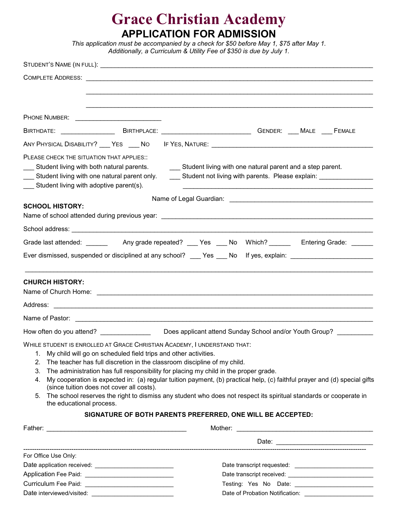# **Grace Christian Academy APPLICATION FOR ADMISSION**

|                                                                                                                                                                                      |                                                                                                              | This application must be accompanied by a check for \$50 before May 1, \$75 after May 1.<br>Additionally, a Curriculum & Utility Fee of \$350 is due by July 1.                                                                                                                                                                                                                                                                                                                                |
|--------------------------------------------------------------------------------------------------------------------------------------------------------------------------------------|--------------------------------------------------------------------------------------------------------------|------------------------------------------------------------------------------------------------------------------------------------------------------------------------------------------------------------------------------------------------------------------------------------------------------------------------------------------------------------------------------------------------------------------------------------------------------------------------------------------------|
|                                                                                                                                                                                      |                                                                                                              |                                                                                                                                                                                                                                                                                                                                                                                                                                                                                                |
|                                                                                                                                                                                      |                                                                                                              |                                                                                                                                                                                                                                                                                                                                                                                                                                                                                                |
|                                                                                                                                                                                      |                                                                                                              |                                                                                                                                                                                                                                                                                                                                                                                                                                                                                                |
| PHONE NUMBER: ______________________________                                                                                                                                         |                                                                                                              |                                                                                                                                                                                                                                                                                                                                                                                                                                                                                                |
|                                                                                                                                                                                      |                                                                                                              | BIRTHDATE: _______________________BIRTHPLACE: __________________________________GENDER: ____MALE ____FEMALE                                                                                                                                                                                                                                                                                                                                                                                    |
|                                                                                                                                                                                      |                                                                                                              |                                                                                                                                                                                                                                                                                                                                                                                                                                                                                                |
| PLEASE CHECK THE SITUATION THAT APPLIES::<br>Student living with both natural parents.<br>Student living with one natural parent only.<br>__ Student living with adoptive parent(s). |                                                                                                              | Student living with one natural parent and a step parent.<br>Student not living with parents. Please explain: Student not living with parents. Please explain:                                                                                                                                                                                                                                                                                                                                 |
|                                                                                                                                                                                      |                                                                                                              |                                                                                                                                                                                                                                                                                                                                                                                                                                                                                                |
| <b>SCHOOL HISTORY:</b>                                                                                                                                                               |                                                                                                              |                                                                                                                                                                                                                                                                                                                                                                                                                                                                                                |
|                                                                                                                                                                                      |                                                                                                              |                                                                                                                                                                                                                                                                                                                                                                                                                                                                                                |
|                                                                                                                                                                                      |                                                                                                              |                                                                                                                                                                                                                                                                                                                                                                                                                                                                                                |
|                                                                                                                                                                                      |                                                                                                              | Ever dismissed, suspended or disciplined at any school? ___ Yes ___ No lf yes, explain: ______________________                                                                                                                                                                                                                                                                                                                                                                                 |
|                                                                                                                                                                                      |                                                                                                              |                                                                                                                                                                                                                                                                                                                                                                                                                                                                                                |
| <b>CHURCH HISTORY:</b>                                                                                                                                                               |                                                                                                              |                                                                                                                                                                                                                                                                                                                                                                                                                                                                                                |
|                                                                                                                                                                                      |                                                                                                              |                                                                                                                                                                                                                                                                                                                                                                                                                                                                                                |
| How often do you attend?                                                                                                                                                             |                                                                                                              | Does applicant attend Sunday School and/or Youth Group?                                                                                                                                                                                                                                                                                                                                                                                                                                        |
| 1.<br>2.<br>3.<br>4.<br>5.<br>the educational process.                                                                                                                               | My child will go on scheduled field trips and other activities.<br>(since tuition does not cover all costs). | WHILE STUDENT IS ENROLLED AT GRACE CHRISTIAN ACADEMY, I UNDERSTAND THAT:<br>The teacher has full discretion in the classroom discipline of my child.<br>The administration has full responsibility for placing my child in the proper grade.<br>My cooperation is expected in: (a) regular tuition payment, (b) practical help, (c) faithful prayer and (d) special gifts<br>The school reserves the right to dismiss any student who does not respect its spiritual standards or cooperate in |
|                                                                                                                                                                                      |                                                                                                              | SIGNATURE OF BOTH PARENTS PREFERRED, ONE WILL BE ACCEPTED:                                                                                                                                                                                                                                                                                                                                                                                                                                     |
|                                                                                                                                                                                      |                                                                                                              |                                                                                                                                                                                                                                                                                                                                                                                                                                                                                                |
|                                                                                                                                                                                      |                                                                                                              |                                                                                                                                                                                                                                                                                                                                                                                                                                                                                                |
| For Office Use Only:                                                                                                                                                                 |                                                                                                              |                                                                                                                                                                                                                                                                                                                                                                                                                                                                                                |
|                                                                                                                                                                                      |                                                                                                              |                                                                                                                                                                                                                                                                                                                                                                                                                                                                                                |
|                                                                                                                                                                                      |                                                                                                              |                                                                                                                                                                                                                                                                                                                                                                                                                                                                                                |
| Curriculum Fee Paid: __________________________________                                                                                                                              |                                                                                                              |                                                                                                                                                                                                                                                                                                                                                                                                                                                                                                |

Date interviewed/visited: \_\_\_\_\_\_\_\_\_\_\_\_\_\_\_\_\_\_\_\_\_\_\_\_\_ Date of Probation Notification: \_\_\_\_\_\_\_\_\_\_\_\_\_\_\_\_\_\_\_\_\_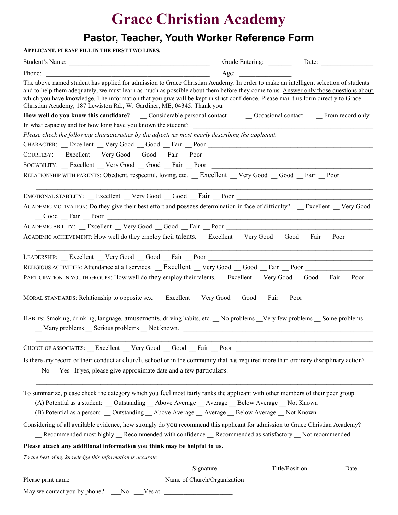## **Pastor, Teacher, Youth Worker Reference Form**

| APPLICANT, PLEASE FILL IN THE FIRST TWO LINES.                                                                                                                                                                                                                                                                                                                                                                                                                                              |           |                        |
|---------------------------------------------------------------------------------------------------------------------------------------------------------------------------------------------------------------------------------------------------------------------------------------------------------------------------------------------------------------------------------------------------------------------------------------------------------------------------------------------|-----------|------------------------|
| Student's Name:                                                                                                                                                                                                                                                                                                                                                                                                                                                                             |           |                        |
| Phone:                                                                                                                                                                                                                                                                                                                                                                                                                                                                                      |           |                        |
| The above named student has applied for admission to Grace Christian Academy. In order to make an intelligent selection of students<br>and to help them adequately, we must learn as much as possible about them before they come to us. Answer only those questions about<br>which you have knowledge. The information that you give will be kept in strict confidence. Please mail this form directly to Grace<br>Christian Academy, 187 Lewiston Rd., W. Gardiner, ME, 04345. Thank you. |           |                        |
|                                                                                                                                                                                                                                                                                                                                                                                                                                                                                             |           |                        |
|                                                                                                                                                                                                                                                                                                                                                                                                                                                                                             |           |                        |
| Please check the following characteristics by the adjectives most nearly describing the applicant.                                                                                                                                                                                                                                                                                                                                                                                          |           |                        |
| CHARACTER: _Excellent _Very Good _Good _Fair _Poor ______________________________                                                                                                                                                                                                                                                                                                                                                                                                           |           |                        |
| COURTESY: _Excellent _Very Good _Good _Fair _Poor _______________________________                                                                                                                                                                                                                                                                                                                                                                                                           |           |                        |
| SOCIABILITY: _Excellent _Very Good _Good _Fair _Poor ____________________________                                                                                                                                                                                                                                                                                                                                                                                                           |           |                        |
| RELATIONSHIP WITH PARENTS: Obedient, respectful, loving, etc. __ Excellent __ Very Good __ Good __ Fair __ Poor                                                                                                                                                                                                                                                                                                                                                                             |           |                        |
| EMOTIONAL STABILITY: _Excellent _Very Good _Good _Fair _Poor ____________________                                                                                                                                                                                                                                                                                                                                                                                                           |           |                        |
| ACADEMIC MOTIVATION: Do they give their best effort and possess determination in face of difficulty? Excellent Very Good<br>Good Fair Poor                                                                                                                                                                                                                                                                                                                                                  |           |                        |
| ACADEMIC ABILITY: _Excellent _Very Good _Good _Fair _Poor _______________________                                                                                                                                                                                                                                                                                                                                                                                                           |           |                        |
| ACADEMIC ACHIEVEMENT: How well do they employ their talents. <u>Excellent Very Good Good Fair Poor</u>                                                                                                                                                                                                                                                                                                                                                                                      |           |                        |
| LEADERSHIP: _Excellent _Very Good _Good _Fair _Poor _____________________________                                                                                                                                                                                                                                                                                                                                                                                                           |           |                        |
| RELIGIOUS ACTIVITIES: Attendance at all services. __ Excellent __ Very Good __ Good __ Fair __ Poor _________                                                                                                                                                                                                                                                                                                                                                                               |           |                        |
| PARTICIPATION IN YOUTH GROUPS: How well do they employ their talents. _ Excellent _ Very Good _ Good _ Fair _ Poor                                                                                                                                                                                                                                                                                                                                                                          |           |                        |
| MORAL STANDARDS: Relationship to opposite sex. _ Excellent _ Very Good _ Good _ Fair _ Poor ______________                                                                                                                                                                                                                                                                                                                                                                                  |           |                        |
| HABITS: Smoking, drinking, language, amusements, driving habits, etc. No problems Very few problems Some problems<br>_Many problems _ Serious problems _ Not known. __________________________________                                                                                                                                                                                                                                                                                      |           |                        |
| CHOICE OF ASSOCIATES: __ Excellent __ Very Good __ Good __ Fair __ Poor ____________________________                                                                                                                                                                                                                                                                                                                                                                                        |           |                        |
| Is there any record of their conduct at church, school or in the community that has required more than ordinary disciplinary action?                                                                                                                                                                                                                                                                                                                                                        |           |                        |
| To summarize, please check the category which you feel most fairly ranks the applicant with other members of their peer group.<br>(A) Potential as a student: __ Outstanding __ Above Average __ Average __ Below Average __ Not Known<br>(B) Potential as a person: __ Outstanding __ Above Average __ Average __ Below Average __ Not Known                                                                                                                                               |           |                        |
| Considering of all available evidence, how strongly do you recommend this applicant for admission to Grace Christian Academy?<br>_Recommended most highly _Recommended with confidence _Recommended as satisfactory _Not recommended                                                                                                                                                                                                                                                        |           |                        |
| Please attach any additional information you think may be helpful to us.                                                                                                                                                                                                                                                                                                                                                                                                                    |           |                        |
| To the best of my knowledge this information is accurate _______________________                                                                                                                                                                                                                                                                                                                                                                                                            |           |                        |
|                                                                                                                                                                                                                                                                                                                                                                                                                                                                                             | Signature | Title/Position<br>Date |
|                                                                                                                                                                                                                                                                                                                                                                                                                                                                                             |           |                        |
| May we contact you by phone? ___ No ____Yes at __________________________________                                                                                                                                                                                                                                                                                                                                                                                                           |           |                        |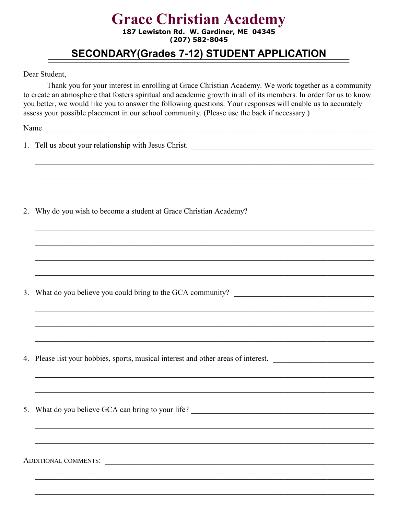187 Lewiston Rd. W. Gardiner, ME 04345  $(207)$  582-8045

## **SECONDARY(Grades 7-12) STUDENT APPLICATION**

Dear Student,

Thank you for your interest in enrolling at Grace Christian Academy. We work together as a community to create an atmosphere that fosters spiritual and academic growth in all of its members. In order for us to know you better, we would like you to answer the following questions. Your responses will enable us to accurately assess your possible placement in our school community. (Please use the back if necessary.)

Name

| <u> 1990 - Johann John Stoff, deutscher Stoff, der Stoff, der Stoff, der Stoff, der Stoff, der Stoff, der Stoff, d</u> |
|------------------------------------------------------------------------------------------------------------------------|
| <u>. In the second contract of the second contract of the second contract of the second contract of the second con</u> |
| 4. Please list your hobbies, sports, musical interest and other areas of interest.                                     |
|                                                                                                                        |
| 5. What do you believe GCA can bring to your life? ______________________________                                      |
|                                                                                                                        |
| ADDITIONAL COMMENTS:                                                                                                   |
|                                                                                                                        |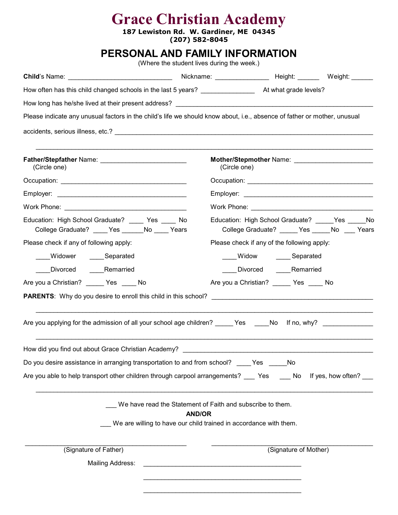**187 Lewiston Rd. W. Gardiner, ME 04345 (207) 582-8045** 

## **PERSONAL AND FAMILY INFORMATION**

(Where the student lives during the week.)

| Please indicate any unusual factors in the child's life we should know about, i.e., absence of father or mother, unusual |               |                                                                                                                       |
|--------------------------------------------------------------------------------------------------------------------------|---------------|-----------------------------------------------------------------------------------------------------------------------|
|                                                                                                                          |               |                                                                                                                       |
|                                                                                                                          |               |                                                                                                                       |
| (Circle one)                                                                                                             |               | (Circle one)                                                                                                          |
|                                                                                                                          |               |                                                                                                                       |
|                                                                                                                          |               |                                                                                                                       |
|                                                                                                                          |               |                                                                                                                       |
| Education: High School Graduate? _____ Yes ____ No<br>College Graduate? ____ Yes ______ No ____ Years                    |               | Education: High School Graduate? Yes No<br>College Graduate? _____ Yes _____ No ___ Years                             |
| Please check if any of following apply:                                                                                  |               | Please check if any of the following apply:                                                                           |
| ___Widower _____Separated                                                                                                |               | _____ Widow _______ Separated                                                                                         |
| ____Divorced ______Remarried                                                                                             |               | _____Divorced _______Remarried                                                                                        |
| Are you a Christian? ______ Yes _____ No                                                                                 |               | Are you a Christian? _______ Yes _____ No                                                                             |
|                                                                                                                          |               |                                                                                                                       |
|                                                                                                                          |               |                                                                                                                       |
| Are you applying for the admission of all your school age children? _____ Yes ____No lf no, why? ____________            |               |                                                                                                                       |
| How did you find out about Grace Christian Academy?<br>The Management of the Christian Academy?                          |               |                                                                                                                       |
| Do you desire assistance in arranging transportation to and from school? _____Yes ______No                               |               |                                                                                                                       |
| Are you able to help transport other children through carpool arrangements? __ Yes __ No lf yes, how often? __           |               |                                                                                                                       |
|                                                                                                                          |               |                                                                                                                       |
|                                                                                                                          |               | We have read the Statement of Faith and subscribe to them.                                                            |
|                                                                                                                          | <b>AND/OR</b> | We are willing to have our child trained in accordance with them.                                                     |
|                                                                                                                          |               |                                                                                                                       |
| (Signature of Father)                                                                                                    |               | (Signature of Mother)                                                                                                 |
| <b>Mailing Address:</b>                                                                                                  |               | <u> 1989 - Johann Barn, amerikan berkema dalam berkema dalam berkema dalam berkema dalam berkema dalam berkema da</u> |
|                                                                                                                          |               |                                                                                                                       |
|                                                                                                                          |               |                                                                                                                       |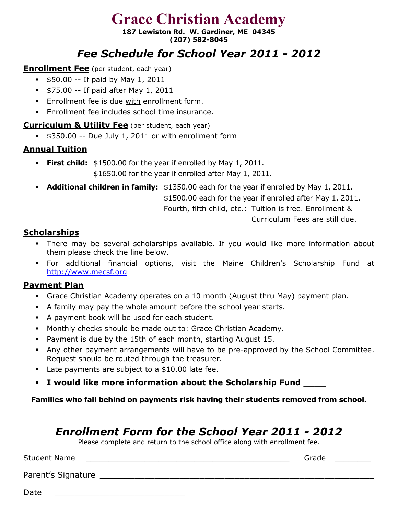**187 Lewiston Rd. W. Gardiner, ME 04345 (207) 582-8045** 

## *Fee Schedule for School Year 2011 - 2012*

### **Enrollment Fee** (per student, each year)

- $\bullet$  \$50.00 -- If paid by May 1, 2011
- $\bullet$  \$75.00 -- If paid after May 1, 2011
- **Enrollment fee is due with enrollment form.**
- Enrollment fee includes school time insurance.

### **Curriculum & Utility Fee** (per student, each year)

\$350.00 -- Due July 1, 2011 or with enrollment form

## **Annual Tuition**

- **First child:** \$1500.00 for the year if enrolled by May 1, 2011. \$1650.00 for the year if enrolled after May 1, 2011.
- **Additional children in family:** \$1350.00 each for the year if enrolled by May 1, 2011. \$1500.00 each for the year if enrolled after May 1, 2011. Fourth, fifth child, etc.: Tuition is free. Enrollment &

Curriculum Fees are still due.

## **Scholarships**

- There may be several scholarships available. If you would like more information about them please check the line below.
- For additional financial options, visit the Maine Children's Scholarship Fund at [http://www.mecsf.org](http://www.mecsf.org/)

## **Payment Plan**

- Grace Christian Academy operates on a 10 month (August thru May) payment plan.
- A family may pay the whole amount before the school year starts.
- A payment book will be used for each student.
- Monthly checks should be made out to: Grace Christian Academy.
- Payment is due by the 15th of each month, starting August 15.
- Any other payment arrangements will have to be pre-approved by the School Committee. Request should be routed through the treasurer.
- Late payments are subject to a \$10.00 late fee.
- **I would like more information about the Scholarship Fund \_\_\_\_**

**Families who fall behind on payments risk having their students removed from school.** 

## *Enrollment Form for the School Year 2011 - 2012*

Please complete and return to the school office along with enrollment fee.

Student Name \_\_\_\_\_\_\_\_\_\_\_\_\_\_\_\_\_\_\_\_\_\_\_\_\_\_\_\_\_\_\_\_\_\_\_\_\_\_\_\_\_\_\_\_\_ Grade \_\_\_\_\_\_\_\_

Parent's Signature \_\_\_\_\_\_\_\_\_\_\_\_\_\_\_\_\_\_\_\_\_\_\_\_\_\_\_\_\_\_\_\_\_\_\_\_\_\_\_\_\_\_\_\_\_\_\_\_\_\_\_\_\_\_\_

Date \_\_\_\_\_\_\_\_\_\_\_\_\_\_\_\_\_\_\_\_\_\_\_\_\_\_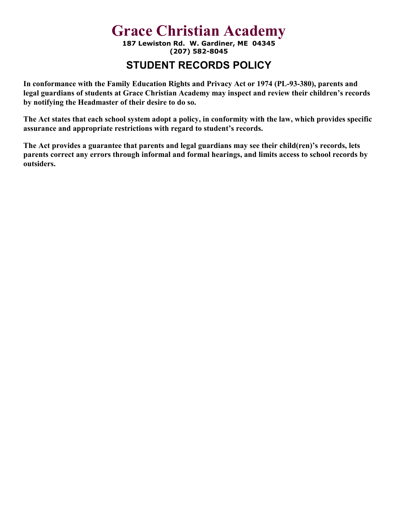**187 Lewiston Rd. W. Gardiner, ME 04345 (207) 582-8045** 

## **STUDENT RECORDS POLICY**

**In conformance with the Family Education Rights and Privacy Act or 1974 (PL-93-380), parents and legal guardians of students at Grace Christian Academy may inspect and review their children's records by notifying the Headmaster of their desire to do so.** 

**The Act states that each school system adopt a policy, in conformity with the law, which provides specific assurance and appropriate restrictions with regard to student's records.** 

**The Act provides a guarantee that parents and legal guardians may see their child(ren)'s records, lets parents correct any errors through informal and formal hearings, and limits access to school records by outsiders.**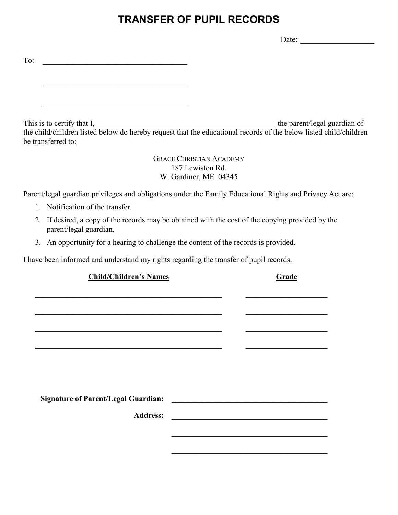## **TRANSFER OF PUPIL RECORDS**

Date: \_\_\_\_\_\_\_\_\_\_\_\_\_\_\_\_\_\_\_

| To:                                              |                                                                                                                                                   |
|--------------------------------------------------|---------------------------------------------------------------------------------------------------------------------------------------------------|
|                                                  |                                                                                                                                                   |
|                                                  |                                                                                                                                                   |
| This is to certify that I,<br>be transferred to: | the parent/legal guardian of<br>the child/children listed below do hereby request that the educational records of the below listed child/children |
|                                                  | <b>GRACE CHRISTIAN ACADEMY</b>                                                                                                                    |

187 Lewiston Rd. W. Gardiner, ME 04345

Parent/legal guardian privileges and obligations under the Family Educational Rights and Privacy Act are:

- 1. Notification of the transfer.
- 2. If desired, a copy of the records may be obtained with the cost of the copying provided by the parent/legal guardian.
- 3. An opportunity for a hearing to challenge the content of the records is provided.

I have been informed and understand my rights regarding the transfer of pupil records.

| <b>Child/Children's Names</b> |  | Grade |
|-------------------------------|--|-------|
|                               |  |       |
|                               |  |       |
|                               |  |       |
|                               |  |       |
|                               |  |       |
|                               |  |       |
|                               |  |       |
|                               |  |       |
|                               |  |       |
|                               |  |       |
|                               |  |       |
|                               |  |       |
|                               |  |       |
|                               |  |       |
|                               |  |       |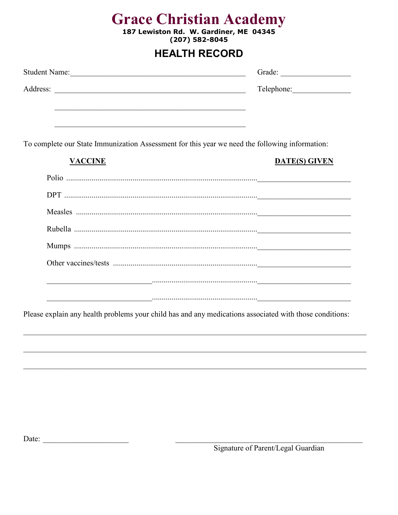187 Lewiston Rd. W. Gardiner, ME 04345<br>(207) 582-8045

## **HEALTH RECORD**

| <u> 1989 - Johann Stoff, amerikansk politiker (d. 1989)</u><br><b>VACCINE</b>                  |                                                                                                                         |
|------------------------------------------------------------------------------------------------|-------------------------------------------------------------------------------------------------------------------------|
| To complete our State Immunization Assessment for this year we need the following information: |                                                                                                                         |
|                                                                                                | <b>DATE(S) GIVEN</b>                                                                                                    |
|                                                                                                |                                                                                                                         |
|                                                                                                |                                                                                                                         |
|                                                                                                |                                                                                                                         |
|                                                                                                |                                                                                                                         |
|                                                                                                |                                                                                                                         |
|                                                                                                |                                                                                                                         |
|                                                                                                | <u> 1980 - Jacques Barbara, american membronomia al Indiana de la construcción de la construcción de la construcció</u> |

Date:  $\qquad \qquad$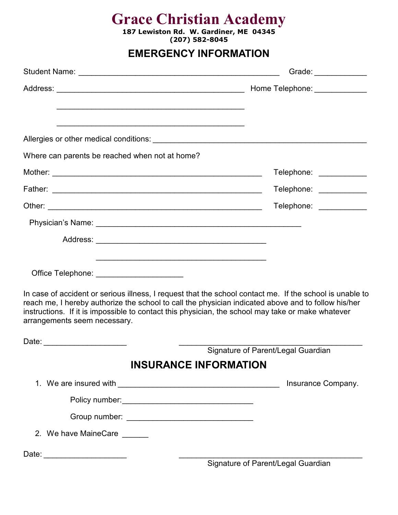**187 Lewiston Rd. W. Gardiner, ME 04345 (207) 582-8045** 

## **EMERGENCY INFORMATION**

|                                                                                                                                                                                                                                                                                                                                                      | Grade: _____________               |
|------------------------------------------------------------------------------------------------------------------------------------------------------------------------------------------------------------------------------------------------------------------------------------------------------------------------------------------------------|------------------------------------|
|                                                                                                                                                                                                                                                                                                                                                      | Home Telephone: ______________     |
| and the control of the control of the control of the control of the control of the control of the control of the<br>Allergies or other medical conditions:                                                                                                                                                                                           |                                    |
| Where can parents be reached when not at home?                                                                                                                                                                                                                                                                                                       |                                    |
|                                                                                                                                                                                                                                                                                                                                                      | Telephone: ___________             |
|                                                                                                                                                                                                                                                                                                                                                      | Telephone: ____________            |
|                                                                                                                                                                                                                                                                                                                                                      | Telephone: ___________             |
|                                                                                                                                                                                                                                                                                                                                                      |                                    |
|                                                                                                                                                                                                                                                                                                                                                      |                                    |
| <u> 1989 - Johann Barbara, marka a shekara ta 1989 - An tsaran tsara tsa a shekara tsa a shekara tsa a shekara t</u>                                                                                                                                                                                                                                 |                                    |
| Office Telephone: _______________________                                                                                                                                                                                                                                                                                                            |                                    |
| In case of accident or serious illness, I request that the school contact me. If the school is unable to<br>reach me, I hereby authorize the school to call the physician indicated above and to follow his/her<br>instructions. If it is impossible to contact this physician, the school may take or make whatever<br>arrangements seem necessary. |                                    |
|                                                                                                                                                                                                                                                                                                                                                      |                                    |
|                                                                                                                                                                                                                                                                                                                                                      | Signature of Parent/Legal Guardian |
|                                                                                                                                                                                                                                                                                                                                                      | <b>INSURANCE INFORMATION</b>       |
|                                                                                                                                                                                                                                                                                                                                                      | Insurance Company.                 |
|                                                                                                                                                                                                                                                                                                                                                      |                                    |
|                                                                                                                                                                                                                                                                                                                                                      |                                    |
| 2. We have MaineCare                                                                                                                                                                                                                                                                                                                                 |                                    |
| Date: _________________________                                                                                                                                                                                                                                                                                                                      | Signature of Parent/Legal Guardian |